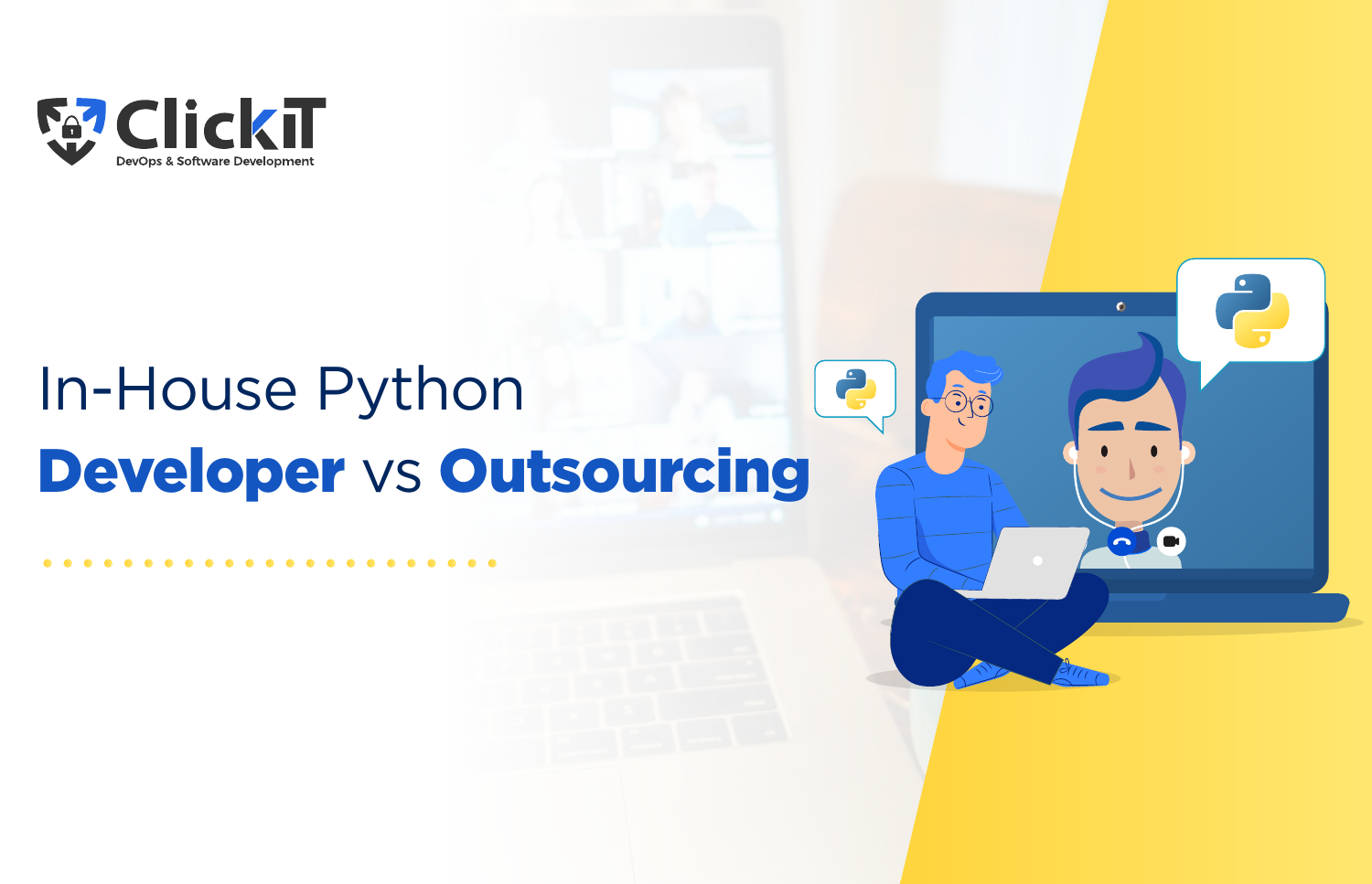

# In-House Python Developer vs Outsourcing

2

 $\bullet$ 

Ċ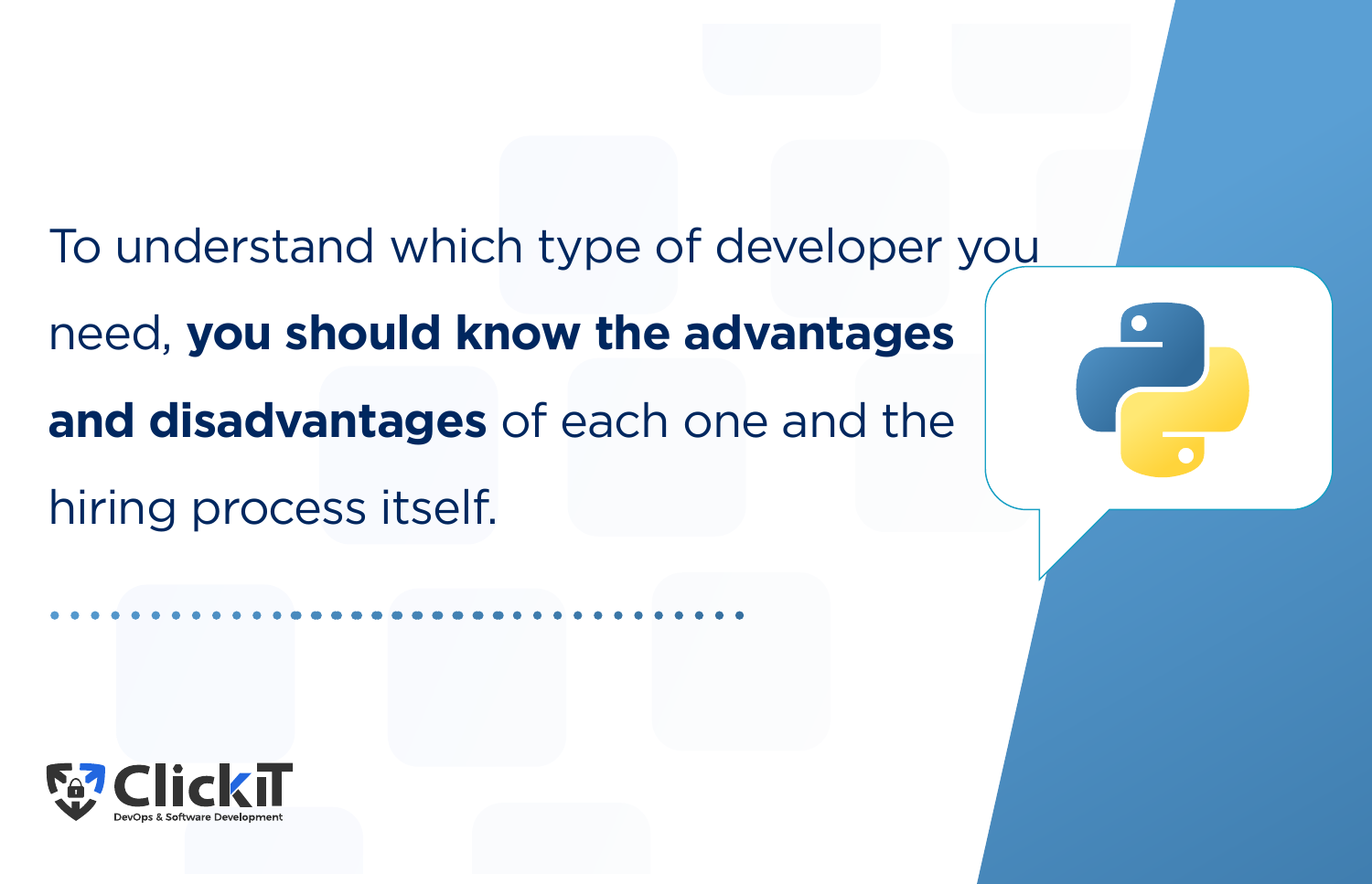To understand which type of developer you

need, **you should know the advantages and disadvantages** of each one and the hiring process itself.



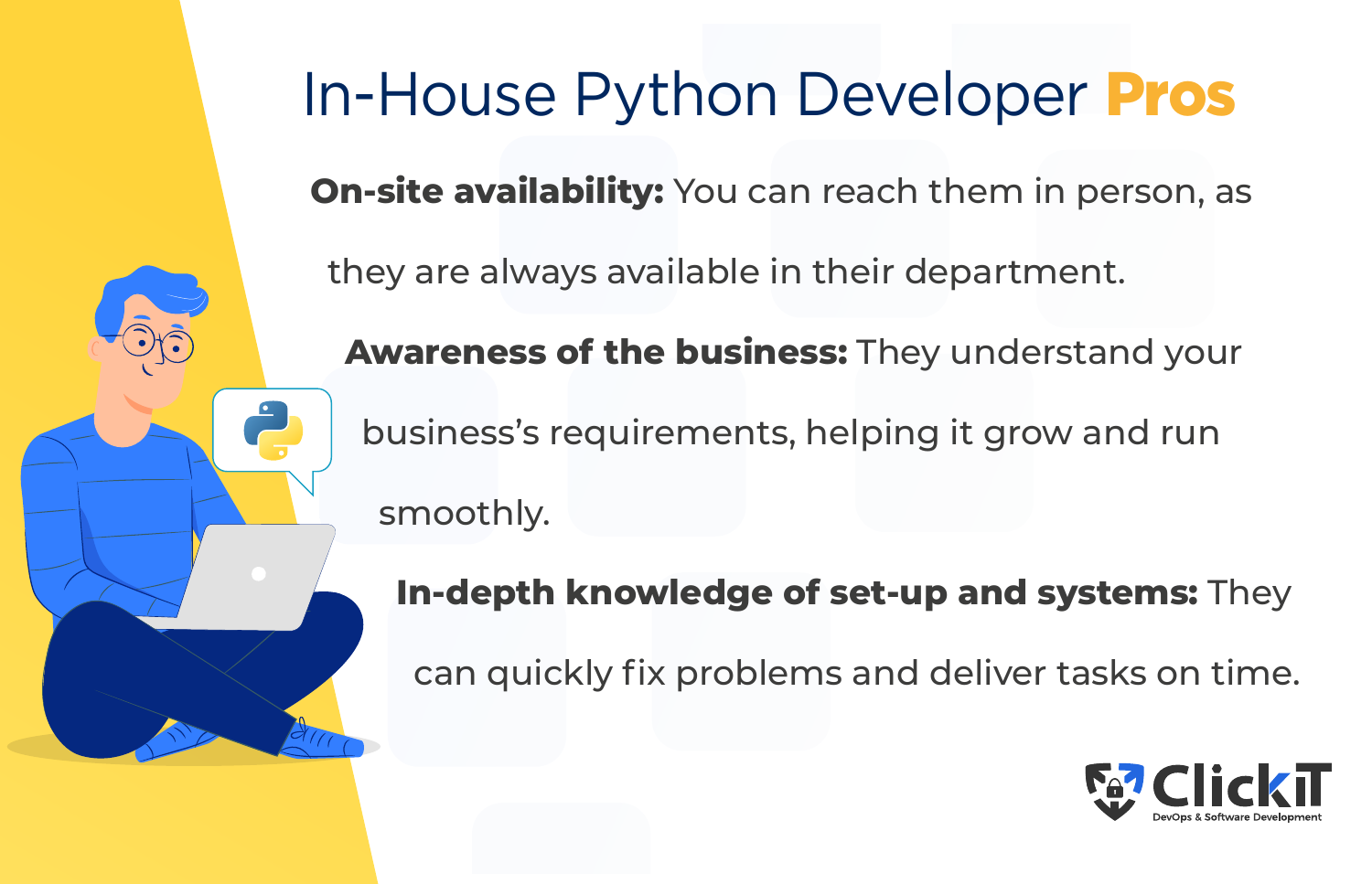

## In-House Python Developer Pros

**On-site availability:** You can reach them in person, as

they are always available in their department.

**Awareness of the business:** They understand your business's requirements, helping it grow and run smoothly.

**In-depth knowledge of set-up and systems:** They

can quickly fix problems and deliver tasks on time.

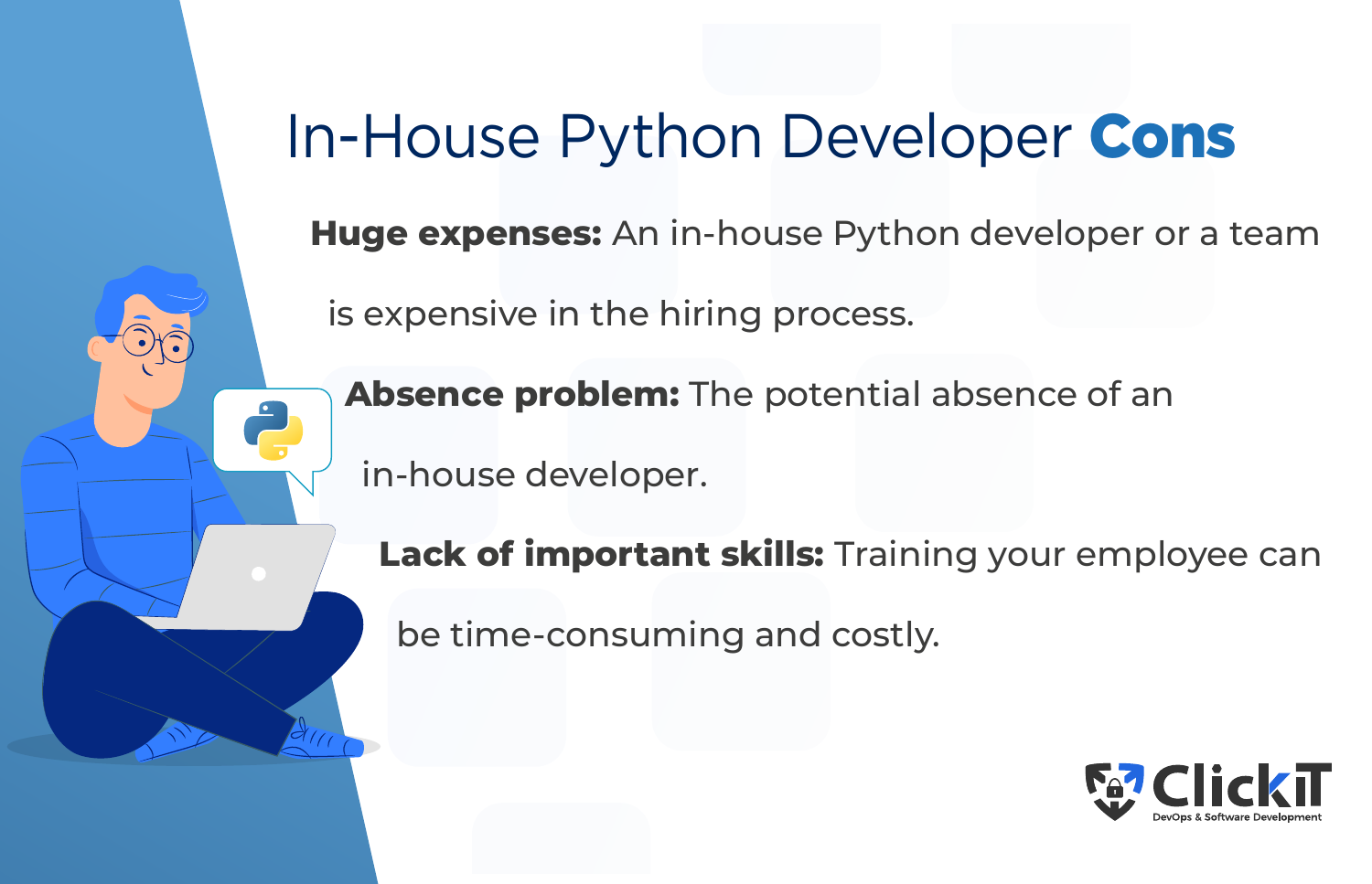### In-House Python Developer Cons

**Huge expenses:** An in-house Python developer or a team

is expensive in the hiring process.

**Absence problem:** The potential absence of an

in-house developer.

**Lack of important skills:** Training your employee can

be time-consuming and costly.

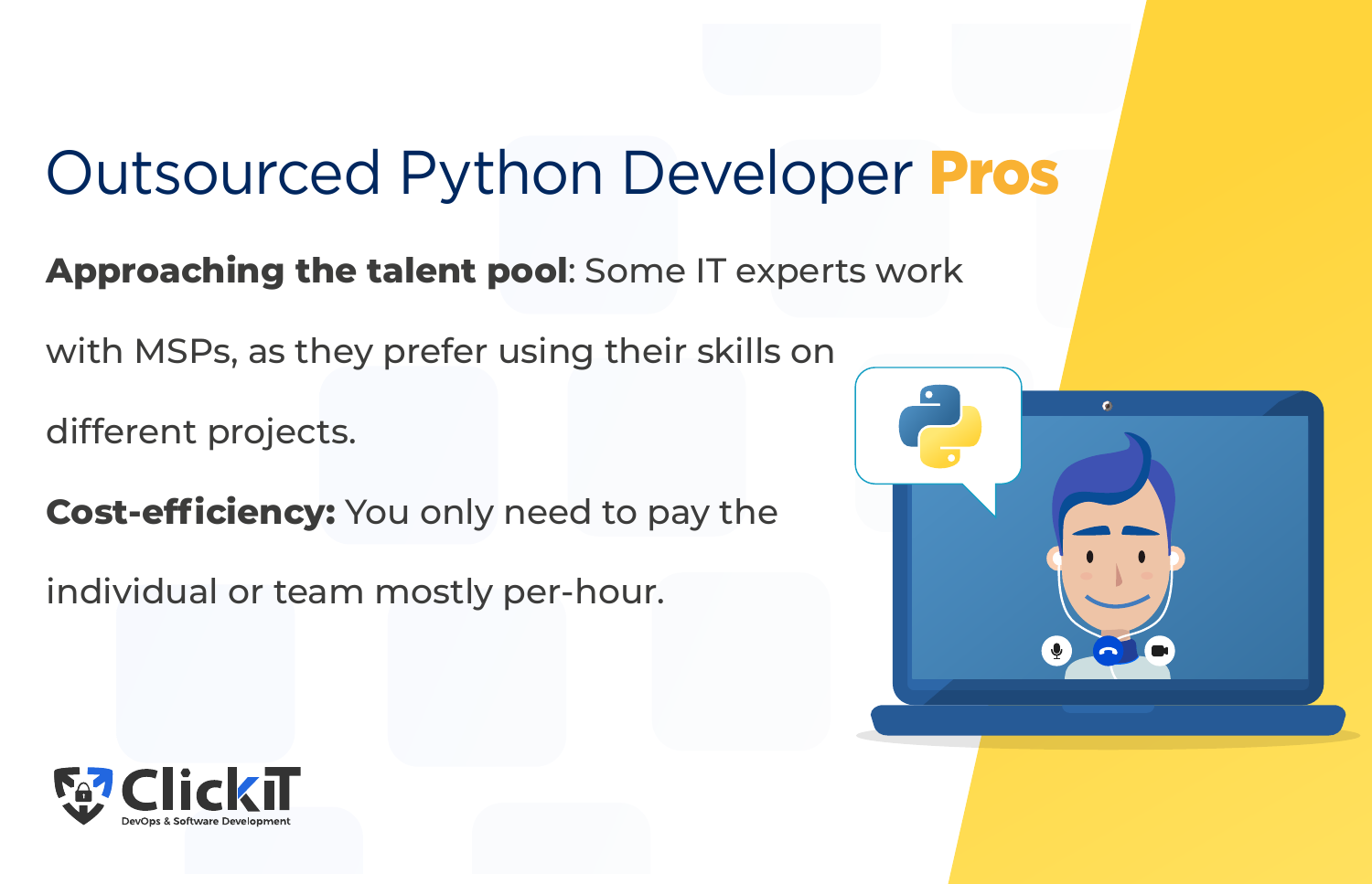## Outsourced Python Developer Pros

#### **Approaching the talent pool**: Some IT experts work

with MSPs, as they prefer using their skills on

different projects.

**Cost-efficiency:** You only need to pay the

individual or team mostly per-hour.



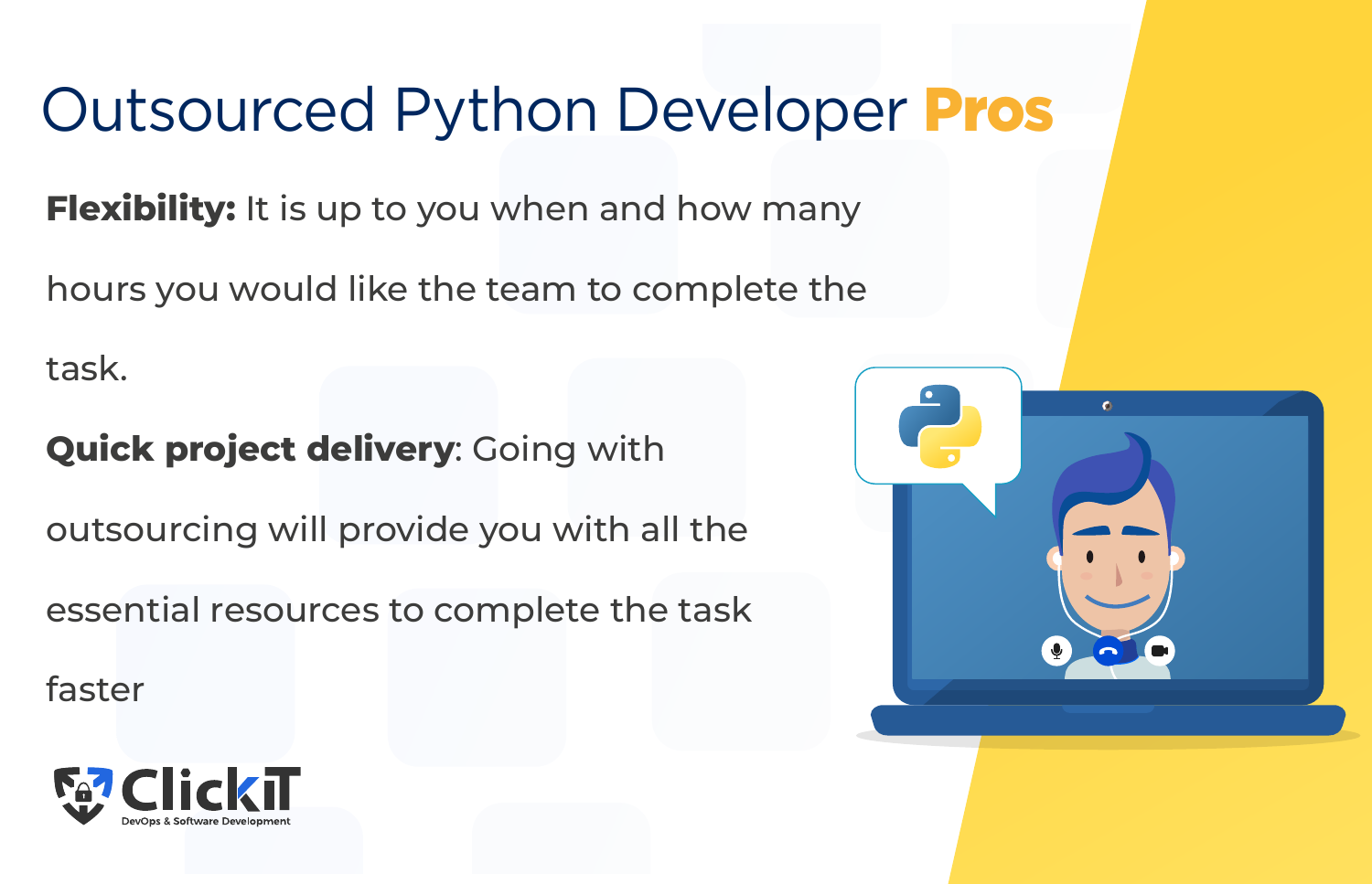## Outsourced Python Developer Pros

**Flexibility:** It is up to you when and how many

hours you would like the team to complete the

task.

#### **Quick project delivery: Going with**

outsourcing will provide you with all the

essential resources to complete the task

faster



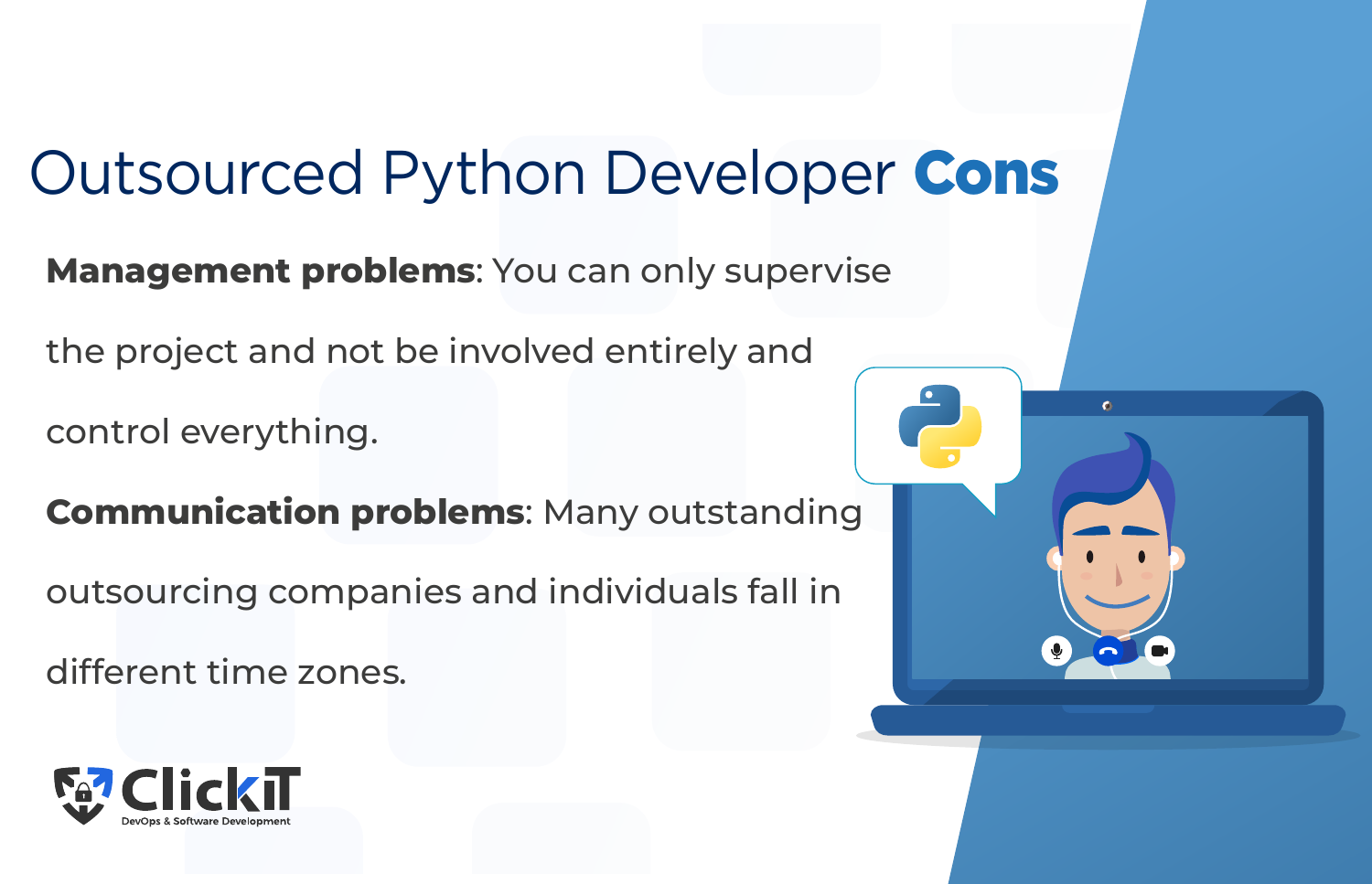## Outsourced Python Developer Cons

**Management problems**: You can only supervise

the project and not be involved entirely and

control everything.

**Communication problems**: Many outstanding

outsourcing companies and individuals fall in

different time zones.



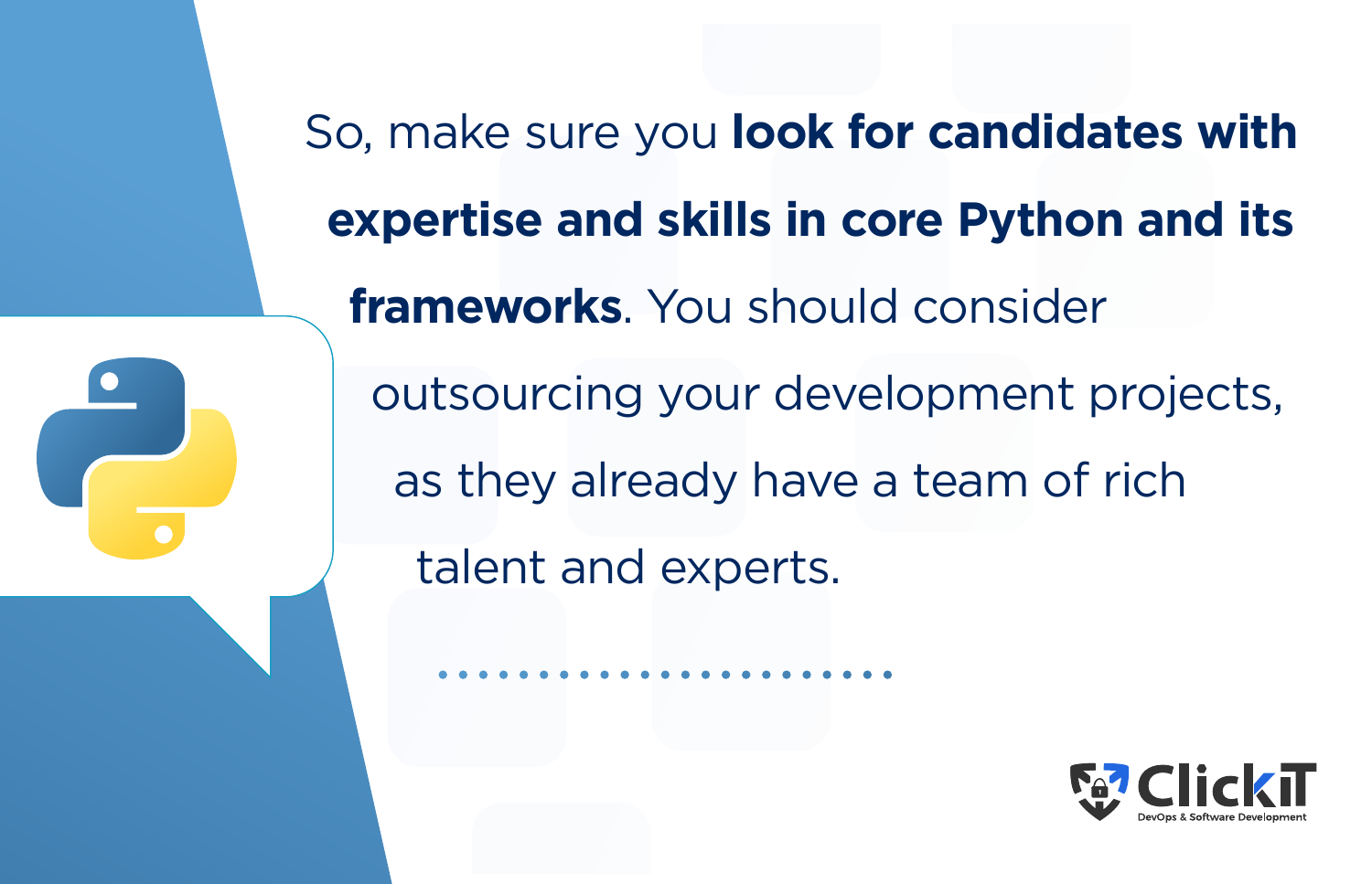